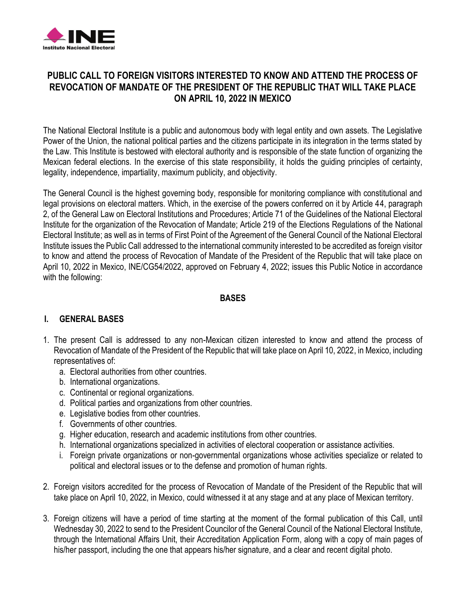

# **PUBLIC CALL TO FOREIGN VISITORS INTERESTED TO KNOW AND ATTEND THE PROCESS OF REVOCATION OF MANDATE OF THE PRESIDENT OF THE REPUBLIC THAT WILL TAKE PLACE ON APRIL 10, 2022 IN MEXICO**

The National Electoral Institute is a public and autonomous body with legal entity and own assets. The Legislative Power of the Union, the national political parties and the citizens participate in its integration in the terms stated by the Law. This Institute is bestowed with electoral authority and is responsible of the state function of organizing the Mexican federal elections. In the exercise of this state responsibility, it holds the guiding principles of certainty, legality, independence, impartiality, maximum publicity, and objectivity.

The General Council is the highest governing body, responsible for monitoring compliance with constitutional and legal provisions on electoral matters. Which, in the exercise of the powers conferred on it by Article 44, paragraph 2, of the General Law on Electoral Institutions and Procedures; Article 71 of the Guidelines of the National Electoral Institute [for](https://dictionary.cambridge.org/es/diccionario/ingles-espanol/for) [the](https://dictionary.cambridge.org/es/diccionario/ingles-espanol/the) [organization](https://dictionary.cambridge.org/es/diccionario/ingles-espanol/organization) [of](https://dictionary.cambridge.org/es/diccionario/ingles-espanol/of) [the](https://dictionary.cambridge.org/es/diccionario/ingles-espanol/the) [Revocation](https://dictionary.cambridge.org/es/diccionario/ingles-espanol/revocation) [of](https://dictionary.cambridge.org/es/diccionario/ingles-espanol/of) [Mandate;](https://dictionary.cambridge.org/es/diccionario/ingles-espanol/mandate) Article 219 of the Elections Regulations of the National Electoral Institute; as well as in terms of First Point of the Agreement of the General Council of the National Electoral Institute issues the Publi[c Call](https://dictionary.cambridge.org/es/diccionario/ingles-espanol/call) addressed to the international community interested to be accredited as foreign visitor to know and attend the process of Revocation of Mandate of the President of the Republic that will take place on April 10, 2022 in Mexico, INE/CG54/2022, approved on February 4, 2022; issues this Public Notice in accordance with the following:

### **BASES**

#### **I. GENERAL BASES**

- 1. The present Call is addressed to any non-Mexican citizen interested to know and attend the process of Revocation of Mandate of the President of the Republic that will take place on April 10, 2022, in Mexico, including representatives of:
	- a. Electoral authorities from other countries.
	- b. International organizations.
	- c. Continental or regional organizations.
	- d. Political parties and organizations from other countries.
	- e. Legislative bodies from other countries.
	- f. Governments of other countries.
	- g. Higher education, research and academic institutions from other countries.
	- h. International organizations specialized in activities of electoral cooperation or assistance activities.
	- i. Foreign private organizations or non-governmental organizations whose activities specialize or related to political and electoral issues or to the defense and promotion of human rights.
- 2. Foreign visitors accredited for the process of Revocation of Mandate of the President of the Republic that will take place on April 10, 2022, in Mexico, could witnessed it at any stage and at any place of Mexican territory.
- 3. Foreign citizens will have a period of time starting at the moment of the formal publication of this Call, until Wednesday 30, 2022 to send to the President Councilor of the General Council of the National Electoral Institute, through the International Affairs Unit, their Accreditation Application Form, along with a copy of main pages of his/her passport, including the one that appears his/her signature, and a clear and recent digital photo.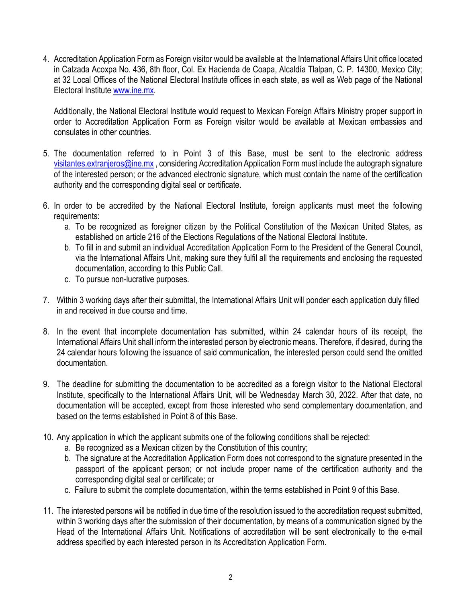4. Accreditation Application Form as Foreign visitor would be available at the International Affairs Unit office located in Calzada Acoxpa No. 436, 8th floor, Col. Ex Hacienda de Coapa, Alcaldía Tlalpan, C. P. 14300, Mexico City; at 32 Local Offices of the National Electoral Institute offices in each state, as well as Web page of the National Electoral Institute [www.ine.mx.](http://www.ine.mx/)

Additionally, the National Electoral Institute would request to Mexican Foreign Affairs Ministry proper support in order to Accreditation Application Form as Foreign visitor would be available at Mexican embassies and consulates in other countries.

- 5. The documentation referred to in Point 3 of this Base, must be sent to the electronic address [visitantes.extranjeros@ine.mx](mailto:visitantes.extranjeros@ine.mx) , considering Accreditation Application Form must include the autograph signature of the interested person; or the advanced electronic signature, which must contain the name of the certification authority and the corresponding digital seal or certificate.
- 6. In order to be accredited by the National Electoral Institute, foreign applicants must meet the following requirements:
	- a. To be recognized as foreigner citizen by the Political Constitution of the Mexican United States, as established on article 216 of the Elections Regulations of the National Electoral Institute.
	- b. To fill in and submit an individual Accreditation Application Form to the President of the General Council, via the International Affairs Unit, making sure they fulfil all the requirements and enclosing the requested documentation, according to this Public Call.
	- c. To pursue non-lucrative purposes.
- 7. Within 3 working days after their submittal, the International Affairs Unit will ponder each application duly filled in and received in due course and time.
- 8. In the event that incomplete documentation has submitted, within 24 calendar hours of its receipt, the International Affairs Unit shall inform the interested person by electronic means. Therefore, if desired, during the 24 calendar hours following the issuance of said communication, the interested person could send the omitted documentation.
- 9. The deadline for submitting the documentation to be accredited as a foreign visitor to the National Electoral Institute, specifically to the International Affairs Unit, will be Wednesday March 30, 2022. After that date, no documentation will be accepted, except from those interested who send complementary documentation, and based on the terms established in Point 8 of this Base.
- 10. Any application in which the applicant submits one of the following conditions shall be rejected:
	- a. Be recognized as a Mexican citizen by the Constitution of this country;
	- b. The signature at the Accreditation Application Form does not correspond to the signature presented in the passport of the applicant person; or not include proper name of the certification authority and the corresponding digital seal or certificate; or
	- c. Failure to submit the complete documentation, within the terms established in Point 9 of this Base.
- 11. The interested persons will be notified in due time of the resolution issued to the accreditation request submitted, within 3 working days after the submission of their documentation, by means of a communication signed by the Head of the International Affairs Unit. Notifications of accreditation will be sent electronically to the e-mail address specified by each interested person in its Accreditation Application Form.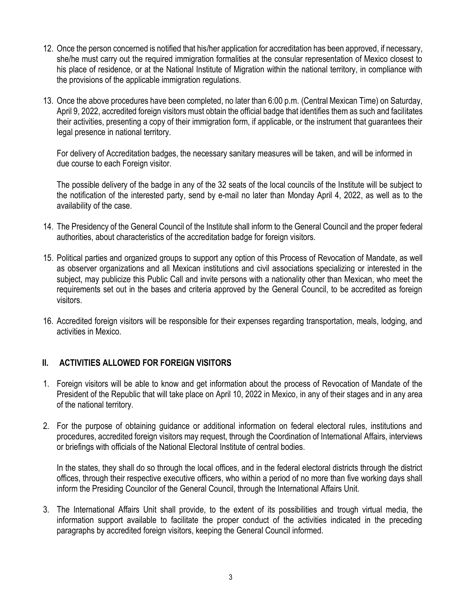- 12. Once the person concerned is notified that his/her application for accreditation has been approved, if necessary, she/he must carry out the required immigration formalities at the consular representation of Mexico closest to his place of residence, or at the National Institute of Migration within the national territory, in compliance with the provisions of the applicable immigration regulations.
- 13. Once the above procedures have been completed, no later than 6:00 p.m. (Central Mexican Time) on Saturday, April 9, 2022, accredited foreign visitors must obtain the official badge that identifies them as such and facilitates their activities, presenting a copy of their immigration form, if applicable, or the instrument that guarantees their legal presence in national territory.

For delivery of Accreditation badges, the [necessary](https://dictionary.cambridge.org/es/diccionario/ingles-espanol/necessary) [sanitary](https://dictionary.cambridge.org/es/diccionario/ingles-espanol/sanitary) measures [will](https://dictionary.cambridge.org/es/diccionario/ingles-espanol/will) [be](https://dictionary.cambridge.org/es/diccionario/ingles-espanol/be) [taken,](https://dictionary.cambridge.org/es/diccionario/ingles-espanol/taken) and will be informed in due course to each Foreign visitor.

The possible delivery of the badge in any of the 32 seats of the local councils of the Institute will be subject to the notification of the interested party, send by e-mail no later than Monday April 4, 2022, as well as to the availability of the case.

- 14. The Presidency of the General Council of the Institute shall inform to the General Council and the proper federal authorities, about characteristics of the accreditation badge for foreign visitors.
- 15. Political parties and organized groups to support any option of this Process of Revocation of Mandate, as well as observer organizations and all Mexican institutions and civil associations specializing or interested in the subject, may publicize this Public Call and invite persons with a nationality other than Mexican, who meet the requirements set out in the bases and criteria approved by the General Council, to be accredited as foreign visitors.
- 16. Accredited foreign visitors will be responsible for their expenses regarding transportation, meals, lodging, and activities in Mexico.

#### **II. ACTIVITIES ALLOWED FOR FOREIGN VISITORS**

- 1. Foreign visitors will be able to know and get information about the process of Revocation of Mandate of the President of the Republic that will take place on April 10, 2022 in Mexico, in any of their stages and in any area of the national territory.
- 2. For the purpose of obtaining guidance or additional information on federal electoral rules, institutions and procedures, accredited foreign visitors may request, through the Coordination of International Affairs, interviews or briefings with officials of the National Electoral Institute of central bodies.

In the states, they shall do so through the local offices, and in the federal electoral districts through the district offices, through their respective executive officers, who within a period of no more than five working days shall inform the Presiding Councilor of the General Council, through the International Affairs Unit.

3. The International Affairs Unit shall provide, to the extent of its possibilities and trough virtual media, the information support available to facilitate the proper conduct of the activities indicated in the preceding paragraphs by accredited foreign visitors, keeping the General Council informed.